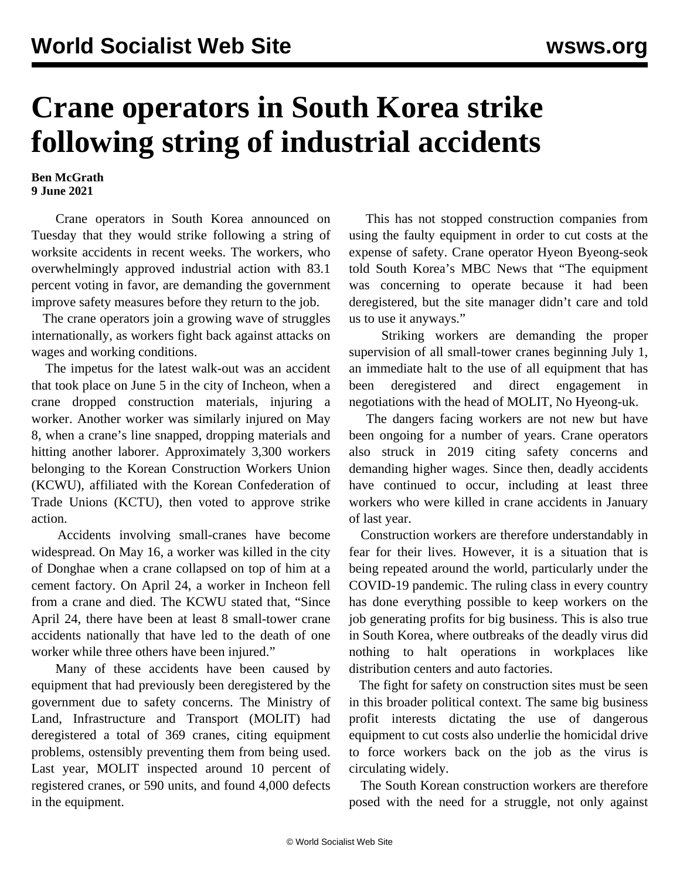## **Crane operators in South Korea strike following string of industrial accidents**

**Ben McGrath 9 June 2021**

 Crane operators in South Korea announced on Tuesday that they would strike following a string of worksite accidents in recent weeks. The workers, who overwhelmingly approved industrial action with 83.1 percent voting in favor, are demanding the government improve safety measures before they return to the job.

 The crane operators join a growing wave of struggles internationally, as workers fight back against attacks on wages and working conditions.

 The impetus for the latest walk-out was an accident that took place on June 5 in the city of Incheon, when a crane dropped construction materials, injuring a worker. Another worker was similarly injured on May 8, when a crane's line snapped, dropping materials and hitting another laborer. Approximately 3,300 workers belonging to the Korean Construction Workers Union (KCWU), affiliated with the Korean Confederation of Trade Unions (KCTU), then voted to approve strike action.

 Accidents involving small-cranes have become widespread. On May 16, a worker was killed in the city of Donghae when a crane collapsed on top of him at a cement factory. On April 24, a worker in Incheon fell from a crane and died. The KCWU stated that, "Since April 24, there have been at least 8 small-tower crane accidents nationally that have led to the death of one worker while three others have been injured."

 Many of these accidents have been caused by equipment that had previously been deregistered by the government due to safety concerns. The Ministry of Land, Infrastructure and Transport (MOLIT) had deregistered a total of 369 cranes, citing equipment problems, ostensibly preventing them from being used. Last year, MOLIT inspected around 10 percent of registered cranes, or 590 units, and found 4,000 defects in the equipment.

 This has not stopped construction companies from using the faulty equipment in order to cut costs at the expense of safety. Crane operator Hyeon Byeong-seok told South Korea's MBC News that "The equipment was concerning to operate because it had been deregistered, but the site manager didn't care and told us to use it anyways."

 Striking workers are demanding the proper supervision of all small-tower cranes beginning July 1, an immediate halt to the use of all equipment that has been deregistered and direct engagement in negotiations with the head of MOLIT, No Hyeong-uk.

 The dangers facing workers are not new but have been ongoing for a number of years. Crane operators also struck in 2019 citing safety concerns and demanding higher wages. Since then, deadly accidents have continued to occur, including at least three workers who were killed in crane accidents in January of last year.

 Construction workers are therefore understandably in fear for their lives. However, it is a situation that is being repeated around the world, particularly under the COVID-19 pandemic. The ruling class in every country has done everything possible to keep workers on the job generating profits for big business. This is also true in South Korea, where outbreaks of the deadly virus did nothing to halt operations in workplaces like distribution centers and auto factories.

 The fight for safety on construction sites must be seen in this broader political context. The same big business profit interests dictating the use of dangerous equipment to cut costs also underlie the homicidal drive to force workers back on the job as the virus is circulating widely.

 The South Korean construction workers are therefore posed with the need for a struggle, not only against